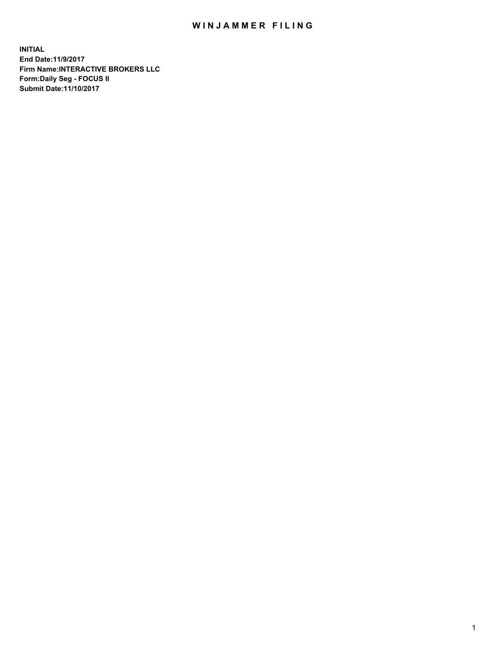## WIN JAMMER FILING

**INITIAL End Date:11/9/2017 Firm Name:INTERACTIVE BROKERS LLC Form:Daily Seg - FOCUS II Submit Date:11/10/2017**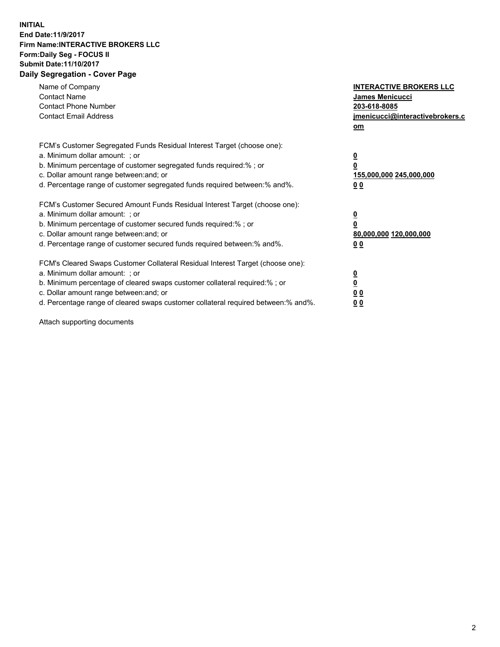## **INITIAL End Date:11/9/2017 Firm Name:INTERACTIVE BROKERS LLC Form:Daily Seg - FOCUS II Submit Date:11/10/2017 Daily Segregation - Cover Page**

| Name of Company<br><b>Contact Name</b><br><b>Contact Phone Number</b><br><b>Contact Email Address</b>                                                                                                                                                                                                                          | <b>INTERACTIVE BROKERS LLC</b><br><b>James Menicucci</b><br>203-618-8085<br>jmenicucci@interactivebrokers.c<br>om |
|--------------------------------------------------------------------------------------------------------------------------------------------------------------------------------------------------------------------------------------------------------------------------------------------------------------------------------|-------------------------------------------------------------------------------------------------------------------|
| FCM's Customer Segregated Funds Residual Interest Target (choose one):<br>a. Minimum dollar amount: ; or<br>b. Minimum percentage of customer segregated funds required:%; or<br>c. Dollar amount range between: and; or<br>d. Percentage range of customer segregated funds required between:% and%.                          | $\overline{\mathbf{0}}$<br>0<br>155,000,000 245,000,000<br>0 <sub>0</sub>                                         |
| FCM's Customer Secured Amount Funds Residual Interest Target (choose one):<br>a. Minimum dollar amount: ; or<br>b. Minimum percentage of customer secured funds required:%; or<br>c. Dollar amount range between: and; or<br>d. Percentage range of customer secured funds required between: % and %.                          | $\overline{\mathbf{0}}$<br>0<br>80,000,000 120,000,000<br>0 <sub>0</sub>                                          |
| FCM's Cleared Swaps Customer Collateral Residual Interest Target (choose one):<br>a. Minimum dollar amount: ; or<br>b. Minimum percentage of cleared swaps customer collateral required:% ; or<br>c. Dollar amount range between: and; or<br>d. Percentage range of cleared swaps customer collateral required between:% and%. | $\overline{\mathbf{0}}$<br>$\overline{\mathbf{0}}$<br>0 <sub>0</sub><br><u>00</u>                                 |

Attach supporting documents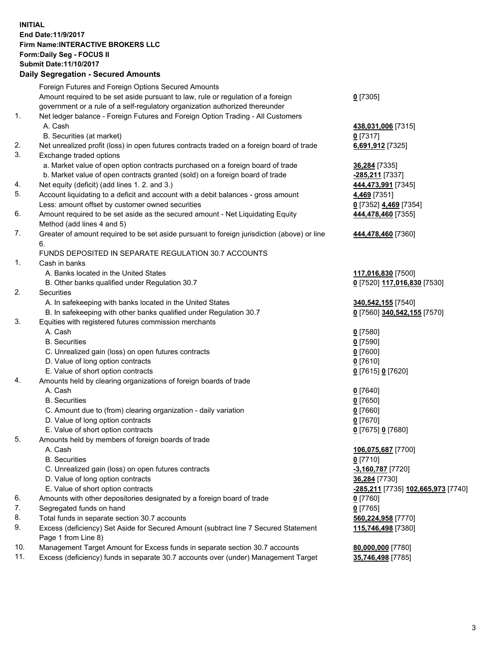## **INITIAL End Date:11/9/2017 Firm Name:INTERACTIVE BROKERS LLC Form:Daily Seg - FOCUS II**

|     | <b>Submit Date:11/10/2017</b>                                                               |                                    |
|-----|---------------------------------------------------------------------------------------------|------------------------------------|
|     | <b>Daily Segregation - Secured Amounts</b>                                                  |                                    |
|     | Foreign Futures and Foreign Options Secured Amounts                                         |                                    |
|     | Amount required to be set aside pursuant to law, rule or regulation of a foreign            | $0$ [7305]                         |
|     | government or a rule of a self-regulatory organization authorized thereunder                |                                    |
| 1.  | Net ledger balance - Foreign Futures and Foreign Option Trading - All Customers             |                                    |
|     | A. Cash                                                                                     | 438,031,006 [7315]                 |
|     | B. Securities (at market)                                                                   | $0$ [7317]                         |
| 2.  | Net unrealized profit (loss) in open futures contracts traded on a foreign board of trade   | 6,691,912 [7325]                   |
| 3.  | Exchange traded options                                                                     |                                    |
|     | a. Market value of open option contracts purchased on a foreign board of trade              | 36,284 [7335]                      |
|     | b. Market value of open contracts granted (sold) on a foreign board of trade                | -285,211 [7337]                    |
| 4.  | Net equity (deficit) (add lines 1.2. and 3.)                                                | 444,473,991 [7345]                 |
| 5.  | Account liquidating to a deficit and account with a debit balances - gross amount           | 4,469 [7351]                       |
|     | Less: amount offset by customer owned securities                                            | 0 [7352] 4,469 [7354]              |
| 6.  | Amount required to be set aside as the secured amount - Net Liquidating Equity              | 444,478,460 [7355]                 |
|     | Method (add lines 4 and 5)                                                                  |                                    |
| 7.  | Greater of amount required to be set aside pursuant to foreign jurisdiction (above) or line | 444,478,460 [7360]                 |
|     | 6.                                                                                          |                                    |
|     | FUNDS DEPOSITED IN SEPARATE REGULATION 30.7 ACCOUNTS                                        |                                    |
| 1.  | Cash in banks                                                                               |                                    |
|     | A. Banks located in the United States                                                       | 117,016,830 [7500]                 |
|     | B. Other banks qualified under Regulation 30.7                                              | 0 [7520] 117,016,830 [7530]        |
| 2.  | Securities                                                                                  |                                    |
|     | A. In safekeeping with banks located in the United States                                   | 340,542,155 [7540]                 |
|     | B. In safekeeping with other banks qualified under Regulation 30.7                          | 0 [7560] 340,542,155 [7570]        |
| 3.  | Equities with registered futures commission merchants                                       |                                    |
|     | A. Cash                                                                                     | $0$ [7580]                         |
|     | <b>B.</b> Securities                                                                        | <u>0</u> [7590]                    |
|     | C. Unrealized gain (loss) on open futures contracts                                         | $0$ [7600]                         |
|     | D. Value of long option contracts                                                           | $0$ [7610]                         |
|     | E. Value of short option contracts                                                          | 0 [7615] 0 [7620]                  |
| 4.  | Amounts held by clearing organizations of foreign boards of trade                           |                                    |
|     | A. Cash                                                                                     | $0$ [7640]                         |
|     | <b>B.</b> Securities                                                                        | <u>0</u> [7650]                    |
|     | C. Amount due to (from) clearing organization - daily variation                             | $0$ [7660]                         |
|     | D. Value of long option contracts                                                           | $0$ [7670]                         |
|     | E. Value of short option contracts                                                          | 0 [7675] 0 [7680]                  |
| 5.  | Amounts held by members of foreign boards of trade                                          |                                    |
|     | A. Cash                                                                                     | 106,075,687 [7700]                 |
|     | <b>B.</b> Securities                                                                        | $0$ [7710]                         |
|     | C. Unrealized gain (loss) on open futures contracts                                         | $-3,160,787$ [7720]                |
|     | D. Value of long option contracts                                                           | <b>36,284</b> [7730]               |
|     | E. Value of short option contracts                                                          | -285,211 [7735] 102,665,973 [7740] |
| 6.  | Amounts with other depositories designated by a foreign board of trade                      | $0$ [7760]                         |
| 7.  | Segregated funds on hand                                                                    | $0$ [7765]                         |
| 8.  | Total funds in separate section 30.7 accounts                                               | 560,224,958 [7770]                 |
| 9.  | Excess (deficiency) Set Aside for Secured Amount (subtract line 7 Secured Statement         | 115,746,498 [7380]                 |
|     | Page 1 from Line 8)                                                                         |                                    |
| 10. | Management Target Amount for Excess funds in separate section 30.7 accounts                 | 80,000,000 [7780]                  |
| 11. | Excess (deficiency) funds in separate 30.7 accounts over (under) Management Target          | 35,746,498 [7785]                  |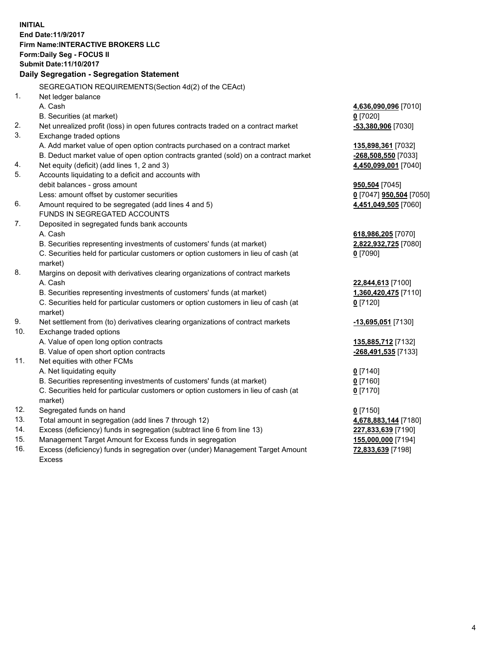**INITIAL End Date:11/9/2017 Firm Name:INTERACTIVE BROKERS LLC Form:Daily Seg - FOCUS II Submit Date:11/10/2017 Daily Segregation - Segregation Statement** SEGREGATION REQUIREMENTS(Section 4d(2) of the CEAct) 1. Net ledger balance A. Cash **4,636,090,096** [7010] B. Securities (at market) **0** [7020] 2. Net unrealized profit (loss) in open futures contracts traded on a contract market **-53,380,906** [7030] 3. Exchange traded options A. Add market value of open option contracts purchased on a contract market **135,898,361** [7032] B. Deduct market value of open option contracts granted (sold) on a contract market **-268,508,550** [7033] 4. Net equity (deficit) (add lines 1, 2 and 3) **4,450,099,001** [7040] 5. Accounts liquidating to a deficit and accounts with debit balances - gross amount **950,504** [7045] Less: amount offset by customer securities **0** [7047] **950,504** [7050] 6. Amount required to be segregated (add lines 4 and 5) **4,451,049,505** [7060] FUNDS IN SEGREGATED ACCOUNTS 7. Deposited in segregated funds bank accounts A. Cash **618,986,205** [7070] B. Securities representing investments of customers' funds (at market) **2,822,932,725** [7080] C. Securities held for particular customers or option customers in lieu of cash (at market) **0** [7090] 8. Margins on deposit with derivatives clearing organizations of contract markets A. Cash **22,844,613** [7100] B. Securities representing investments of customers' funds (at market) **1,360,420,475** [7110] C. Securities held for particular customers or option customers in lieu of cash (at market) **0** [7120] 9. Net settlement from (to) derivatives clearing organizations of contract markets **-13,695,051** [7130] 10. Exchange traded options A. Value of open long option contracts **135,885,712** [7132] B. Value of open short option contracts **-268,491,535** [7133] 11. Net equities with other FCMs A. Net liquidating equity **0** [7140] B. Securities representing investments of customers' funds (at market) **0** [7160] C. Securities held for particular customers or option customers in lieu of cash (at market) **0** [7170] 12. Segregated funds on hand **0** [7150] 13. Total amount in segregation (add lines 7 through 12) **4,678,883,144** [7180] 14. Excess (deficiency) funds in segregation (subtract line 6 from line 13) **227,833,639** [7190] 15. Management Target Amount for Excess funds in segregation **155,000,000** [7194]

16. Excess (deficiency) funds in segregation over (under) Management Target Amount Excess

**72,833,639** [7198]